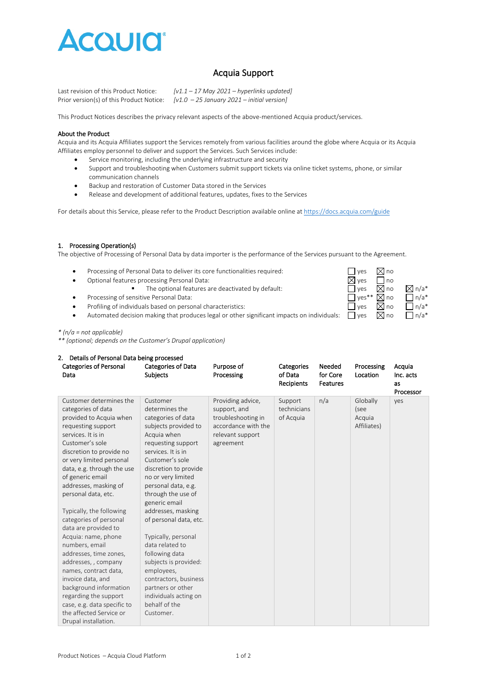

# Acquia Support

Last revision of this Product Notice: *[v1.1 – 17 May 2021 – hyperlinks updated]* Prior version(s) of this Product Notice: *[v1.0 – 25 January 2021 – initial version]*

This Product Notices describes the privacy relevant aspects of the above-mentioned Acquia product/services.

#### About the Product

Acquia and its Acquia Affiliates support the Services remotely from various facilities around the globe where Acquia or its Acquia Affiliates employ personnel to deliver and support the Services. Such Services include:

- Service monitoring, including the underlying infrastructure and security
- Support and troubleshooting when Customers submit support tickets via online ticket systems, phone, or similar communication channels
- Backup and restoration of Customer Data stored in the Services
- Release and development of additional features, updates, fixes to the Services

For details about this Service, please refer to the Product Description available online a[t https://docs.acquia.com/guide](https://docs.acquia.com/guide)

### 1. Processing Operation(s)

The objective of Processing of Personal Data by data importer is the performance of the Services pursuant to the Agreement.

- Processing of Personal Data to deliver its core functionalities required:  $\Box$  yes  $\boxtimes$  no
- 
- Optional features processing Personal Data:  $\Box$  yes  $\Box$  no<br>
The optional features are deactivated by default:  $\Box$  yes  $\boxtimes$  no The optional features are deactivated by default:<br> $\Box$  yes  $\Box$  no  $\Box$  n/a\*<br> $\Box$  yes\*\*  $\Box$  no  $\Box$  n/a\*
- 
- Processing of sensitive Personal Data:<br>• Profiling of individuals based on personal characteristics:<br>• Profiling of individuals based on personal characteristics:<br>• Profiling of individuals based on personal characteris Profiling of individuals based on personal characteristics:  $\Box$  yes  $\Box$  and  $\Box$  n/a\*
- Automated decision making that produces legal or other significant impacts on individuals:  $\Box$  yes  $\Box$  no  $\Box$  n/a\*

*\* (n/a = not applicable)*

*\*\* (optional; depends on the Customer's Drupal application)*

#### 2. Details of Personal Data being processed

| <b>Categories of Personal</b><br>Data                                                                                                                                                                                                                                                                                                                                                                                                                                                                                                                                                                                                 | <b>Categories of Data</b><br><b>Subjects</b>                                                                                                                                                                                                                                                                                                                                                                                                                                                                                | Purpose of<br>Processing                                                                                        | Categories<br>of Data<br>Recipients | Needed<br>for Core<br>Features | Processing<br>Location                    | Acquia<br>Inc. acts<br>as<br>Processor |
|---------------------------------------------------------------------------------------------------------------------------------------------------------------------------------------------------------------------------------------------------------------------------------------------------------------------------------------------------------------------------------------------------------------------------------------------------------------------------------------------------------------------------------------------------------------------------------------------------------------------------------------|-----------------------------------------------------------------------------------------------------------------------------------------------------------------------------------------------------------------------------------------------------------------------------------------------------------------------------------------------------------------------------------------------------------------------------------------------------------------------------------------------------------------------------|-----------------------------------------------------------------------------------------------------------------|-------------------------------------|--------------------------------|-------------------------------------------|----------------------------------------|
| Customer determines the<br>categories of data<br>provided to Acquia when<br>requesting support<br>services. It is in<br>Customer's sole<br>discretion to provide no<br>or very limited personal<br>data, e.g. through the use<br>of generic email<br>addresses, masking of<br>personal data, etc.<br>Typically, the following<br>categories of personal<br>data are provided to<br>Acquia: name, phone<br>numbers, email<br>addresses, time zones,<br>addresses, , company<br>names, contract data,<br>invoice data, and<br>background information<br>regarding the support<br>case, e.g. data specific to<br>the affected Service or | Customer<br>determines the<br>categories of data<br>subjects provided to<br>Acquia when<br>requesting support<br>services. It is in<br>Customer's sole<br>discretion to provide<br>no or very limited<br>personal data, e.g.<br>through the use of<br>generic email<br>addresses, masking<br>of personal data, etc.<br>Typically, personal<br>data related to<br>following data<br>subjects is provided:<br>employees,<br>contractors, business<br>partners or other<br>individuals acting on<br>behalf of the<br>Customer. | Providing advice,<br>support, and<br>troubleshooting in<br>accordance with the<br>relevant support<br>agreement | Support<br>technicians<br>of Acquia | n/a                            | Globally<br>(see<br>Acquia<br>Affiliates) | yes                                    |
| Drupal installation.                                                                                                                                                                                                                                                                                                                                                                                                                                                                                                                                                                                                                  |                                                                                                                                                                                                                                                                                                                                                                                                                                                                                                                             |                                                                                                                 |                                     |                                |                                           |                                        |